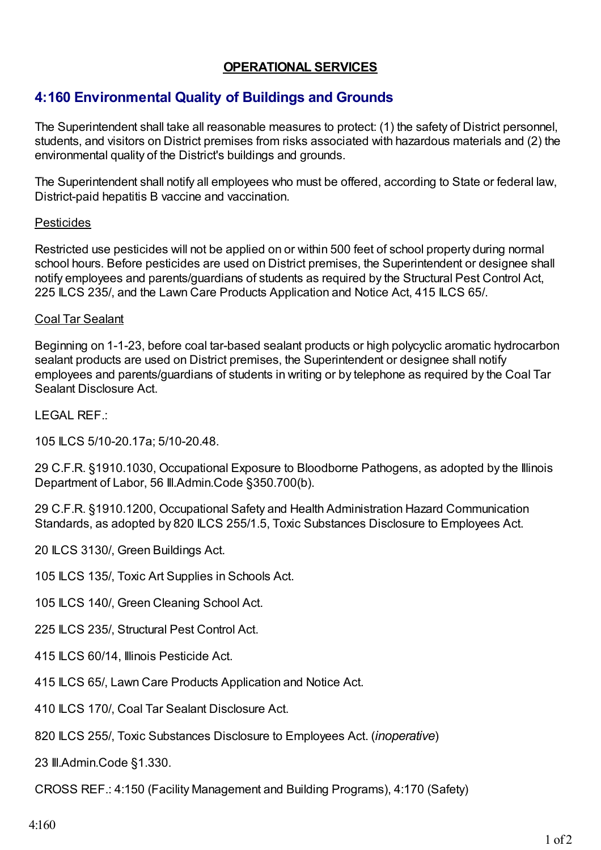### **OPERATIONAL SERVICES**

# **4:160 Environmental Quality of Buildings and Grounds**

The Superintendent shall take all reasonable measures to protect: (1) the safety of District personnel, students, and visitors on District premises from risks associated with hazardous materials and (2) the environmental quality of the District's buildings and grounds.

The Superintendent shall notify all employees who must be offered, according to State or federal law, District-paid hepatitis B vaccine and vaccination.

#### Pesticides

Restricted use pesticides will not be applied on or within 500 feet of school property during normal school hours. Before pesticides are used on District premises, the Superintendent or designee shall notify employees and parents/guardians of students as required by the Structural Pest Control Act, 225 ILCS 235/, and the Lawn Care Products Application and Notice Act, 415 ILCS 65/.

#### Coal Tar Sealant

Beginning on 1-1-23, before coal tar-based sealant products or high polycyclic aromatic hydrocarbon sealant products are used on District premises, the Superintendent or designee shall notify employees and parents/guardians of students in writing or by telephone as required by the Coal Tar Sealant Disclosure Act.

LEGAL REF.:

105 ILCS 5/10-20.17a; 5/10-20.48.

29 C.F.R. §1910.1030, Occupational Exposure to Bloodborne Pathogens, as adopted by the Illinois Department of Labor, 56 Ill.Admin.Code §350.700(b).

29 C.F.R. §1910.1200, Occupational Safety and Health Administration Hazard Communication Standards, as adopted by 820 ILCS 255/1.5, Toxic Substances Disclosure to Employees Act.

20 ILCS 3130/, Green Buildings Act.

105 ILCS 135/, Toxic Art Supplies in Schools Act.

105 ILCS 140/, Green Cleaning School Act.

225 ILCS 235/, Structural Pest Control Act.

- 415 ILCS 60/14, Illinois Pesticide Act.
- 415 ILCS 65/, Lawn Care Products Application and Notice Act.
- 410 ILCS 170/, Coal Tar Sealant Disclosure Act.
- 820 ILCS 255/, Toxic Substances Disclosure to Employees Act. (*inoperative*)

23 Ill.Admin.Code §1.330.

CROSS REF.: 4:150 (Facility Management and Building Programs), 4:170 (Safety)